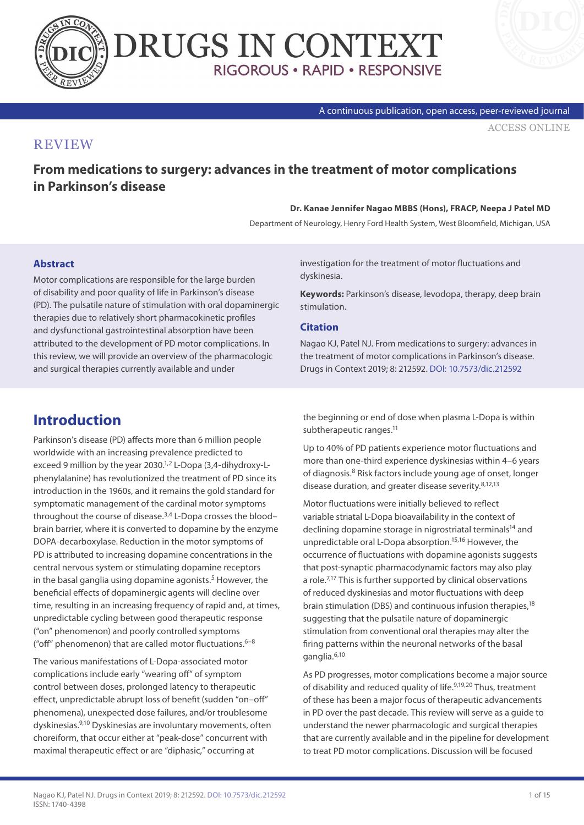



#### A continuous publication, open access, peer-reviewed journal

[ACCESS ONLINE](https://www.drugsincontext.com/from-medications-to-surgery:-advances-in-the-treatment-of-motor-complications-in-parkinson)

#### **REVIEW**

## **From medications to surgery: advances in the treatment of motor complications in Parkinson's disease**

#### **Dr. Kanae Jennifer Nagao MBBS (Hons), FRACP, Neepa J Patel MD**

Department of Neurology, Henry Ford Health System, West Bloomfield, Michigan, USA

#### **Abstract**

Motor complications are responsible for the large burden of disability and poor quality of life in Parkinson's disease (PD). The pulsatile nature of stimulation with oral dopaminergic therapies due to relatively short pharmacokinetic profiles and dysfunctional gastrointestinal absorption have been attributed to the development of PD motor complications. In this review, we will provide an overview of the pharmacologic and surgical therapies currently available and under

investigation for the treatment of motor fluctuations and dyskinesia.

**Keywords:** Parkinson's disease, levodopa, therapy, deep brain stimulation.

#### **Citation**

Nagao KJ, Patel NJ. From medications to surgery: advances in the treatment of motor complications in Parkinson's disease. Drugs in Context 2019; 8: 212592. [DOI: 10.7573/dic.212592](https://doi.org/10.7573/dic.212592)

# **Introduction**

Parkinson's disease (PD) affects more than 6 million people worldwide with an increasing prevalence predicted to exceed 9 million by the year 2030. $1/2$  L-Dopa (3,4-dihydroxy-Lphenylalanine) has revolutionized the treatment of PD since its introduction in the 1960s, and it remains the gold standard for symptomatic management of the cardinal motor symptoms throughout the course of disease.<sup>3,4</sup> L-Dopa crosses the bloodbrain barrier, where it is converted to dopamine by the enzyme DOPA-decarboxylase. Reduction in the motor symptoms of PD is attributed to increasing dopamine concentrations in the central nervous system or stimulating dopamine receptors in the basal ganglia using dopamine agonists.<sup>5</sup> However, the beneficial effects of dopaminergic agents will decline over time, resulting in an increasing frequency of rapid and, at times, unpredictable cycling between good therapeutic response ("on" phenomenon) and poorly controlled symptoms ("off" phenomenon) that are called motor fluctuations. $6-8$ 

The various manifestations of L-Dopa-associated motor complications include early "wearing off" of symptom control between doses, prolonged latency to therapeutic effect, unpredictable abrupt loss of benefit (sudden "on–off" phenomena), unexpected dose failures, and/or troublesome dyskinesias.9,10 Dyskinesias are involuntary movements, often choreiform, that occur either at "peak-dose" concurrent with maximal therapeutic effect or are "diphasic," occurring at

the beginning or end of dose when plasma L-Dopa is within subtherapeutic ranges.<sup>11</sup>

Up to 40% of PD patients experience motor fluctuations and more than one-third experience dyskinesias within 4–6 years of diagnosis.8 Risk factors include young age of onset, longer disease duration, and greater disease severity.<sup>8,12,13</sup>

Motor fluctuations were initially believed to reflect variable striatal L-Dopa bioavailability in the context of declining dopamine storage in nigrostriatal terminals<sup>14</sup> and unpredictable oral L-Dopa absorption.15,16 However, the occurrence of fluctuations with dopamine agonists suggests that post-synaptic pharmacodynamic factors may also play a role.<sup>7,17</sup> This is further supported by clinical observations of reduced dyskinesias and motor fluctuations with deep brain stimulation (DBS) and continuous infusion therapies,<sup>18</sup> suggesting that the pulsatile nature of dopaminergic stimulation from conventional oral therapies may alter the firing patterns within the neuronal networks of the basal ganglia.6,10

As PD progresses, motor complications become a major source of disability and reduced quality of life.<sup>9,19,20</sup> Thus, treatment of these has been a major focus of therapeutic advancements in PD over the past decade. This review will serve as a guide to understand the newer pharmacologic and surgical therapies that are currently available and in the pipeline for development to treat PD motor complications. Discussion will be focused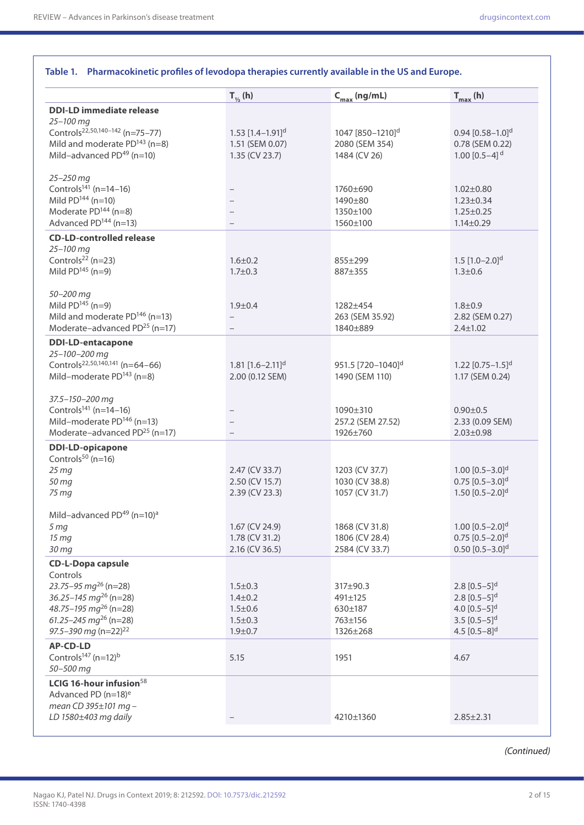|                                                                                                                                                                                                            | $T_{\nu_2}$ (h)                                                                 | $C_{\text{max}}$ (ng/mL)                                       | $T_{max}$ (h)                                                                                                                                      |
|------------------------------------------------------------------------------------------------------------------------------------------------------------------------------------------------------------|---------------------------------------------------------------------------------|----------------------------------------------------------------|----------------------------------------------------------------------------------------------------------------------------------------------------|
| <b>DDI-LD immediate release</b>                                                                                                                                                                            |                                                                                 |                                                                |                                                                                                                                                    |
| 25-100 mg<br>Controls <sup>22,50,140-142</sup> (n=75-77)<br>Mild and moderate $PD^{143}$ (n=8)<br>Mild-advanced $PD^{49}$ (n=10)                                                                           | 1.53 $[1.4-1.91]$ <sup>d</sup><br>1.51 (SEM 0.07)<br>$1.35$ (CV 23.7)           | 1047 [850-1210] <sup>d</sup><br>2080 (SEM 354)<br>1484 (CV 26) | 0.94 $[0.58 - 1.0]$ <sup>d</sup><br>0.78 (SEM 0.22)<br>1.00 $[0.5-4]$ <sup>d</sup>                                                                 |
| 25-250 mg<br>Controls <sup>141</sup> (n=14-16)<br>Mild $PD^{144}$ (n=10)<br>Moderate $PD^{144}$ (n=8)<br>Advanced $PD144$ (n=13)                                                                           |                                                                                 | 1760±690<br>1490±80<br>1350±100<br>1560±100                    | $1.02 \pm 0.80$<br>$1.23 \pm 0.34$<br>$1.25 \pm 0.25$<br>$1.14 \pm 0.29$                                                                           |
| <b>CD-LD-controlled release</b><br>25-100 mg<br>Controls <sup>22</sup> (n=23)<br>Mild $PD^{145}$ (n=9)                                                                                                     | $1.6 \pm 0.2$<br>$1.7 \pm 0.3$                                                  | $855 \pm 299$<br>887±355                                       | 1.5 $[1.0-2.0]$ <sup>d</sup><br>$1.3 \pm 0.6$                                                                                                      |
| 50-200 mg<br>Mild $PD^{145}$ (n=9)<br>Mild and moderate PD <sup>146</sup> (n=13)<br>Moderate-advanced PD <sup>25</sup> (n=17)                                                                              | $1.9 + 0.4$                                                                     | 1282±454<br>263 (SEM 35.92)<br>1840±889                        | $1.8 + 0.9$<br>2.82 (SEM 0.27)<br>$2.4 \pm 1.02$                                                                                                   |
| <b>DDI-LD-entacapone</b><br>25-100-200 mg<br>Controls <sup>22,50,140,141</sup> (n=64-66)<br>Mild-moderate $PD^{143}$ (n=8)                                                                                 | 1.81 $[1.6 - 2.11]$ <sup>d</sup><br>2.00 (0.12 SEM)                             | 951.5 [720-1040] <sup>d</sup><br>1490 (SEM 110)                | 1.22 $[0.75-1.5]$ <sup>d</sup><br>1.17 (SEM 0.24)                                                                                                  |
| 37.5-150-200 mg<br>Controls <sup>141</sup> (n=14-16)<br>Mild-moderate $PD146$ (n=13)<br>Moderate-advanced PD <sup>25</sup> (n=17)                                                                          |                                                                                 | 1090±310<br>257.2 (SEM 27.52)<br>1926±760                      | $0.90 \pm 0.5$<br>2.33 (0.09 SEM)<br>$2.03 \pm 0.98$                                                                                               |
| <b>DDI-LD-opicapone</b><br>Controls $50$ (n=16)<br>25 mg<br>50 mg<br>75 mg                                                                                                                                 | 2.47 (CV 33.7)<br>2.50 (CV 15.7)<br>2.39 (CV 23.3)                              | 1203 (CV 37.7)<br>1030 (CV 38.8)<br>1057 (CV 31.7)             | 1.00 $[0.5-3.0]$ <sup>d</sup><br>$0.75$ [0.5-3.0] <sup>d</sup><br>1.50 $[0.5-2.0]$ <sup>d</sup>                                                    |
| Mild-advanced PD <sup>49</sup> (n=10) <sup>a</sup><br>5 <sub>mg</sub><br>15 mg<br>$30$ mg                                                                                                                  | 1.67 (CV 24.9)<br>1.78 (CV 31.2)<br>2.16 (CV 36.5)                              | 1868 (CV 31.8)<br>1806 (CV 28.4)<br>2584 (CV 33.7)             | $1.00$ $[0.5-2.0]$ <sup>d</sup><br>$0.75$ [0.5-2.0] <sup>d</sup><br>$0.50$ $[0.5-3.0]$ <sup>d</sup>                                                |
| <b>CD-L-Dopa capsule</b><br>Controls<br>23.75-95 $mq^{26}$ (n=28)<br>36.25-145 $mg^{26}$ (n=28)<br>$48.75 - 195$ mg <sup>26</sup> (n=28)<br>61.25-245 $mg^{26}$ (n=28)<br>97.5-390 mg (n=22) <sup>22</sup> | $1.5 \pm 0.3$<br>$1.4 \pm 0.2$<br>$1.5 \pm 0.6$<br>$1.5 \pm 0.3$<br>$1.9 + 0.7$ | 317±90.3<br>491±125<br>630±187<br>763±156<br>1326±268          | 2.8 $[0.5-5]$ <sup>d</sup><br>2.8 $[0.5-5]$ <sup>d</sup><br>4.0 $[0.5-5]$ <sup>d</sup><br>3.5 $[0.5-5]$ <sup>d</sup><br>4.5 $[0.5-8]$ <sup>d</sup> |
| <b>AP-CD-LD</b><br>Controls <sup>147</sup> (n=12) <sup>b</sup><br>50-500 mg                                                                                                                                | 5.15                                                                            | 1951                                                           | 4.67                                                                                                                                               |
| LCIG 16-hour infusion <sup>58</sup><br>Advanced PD (n=18) <sup>e</sup><br>mean CD 395±101 mg-                                                                                                              |                                                                                 |                                                                |                                                                                                                                                    |
| LD 1580±403 mg daily                                                                                                                                                                                       |                                                                                 | 4210±1360                                                      | $2.85 \pm 2.31$                                                                                                                                    |

#### **Table 1. Pharmacokinetic profiles of levodopa therapies currently available in the US and Europe.**

*(Continued)*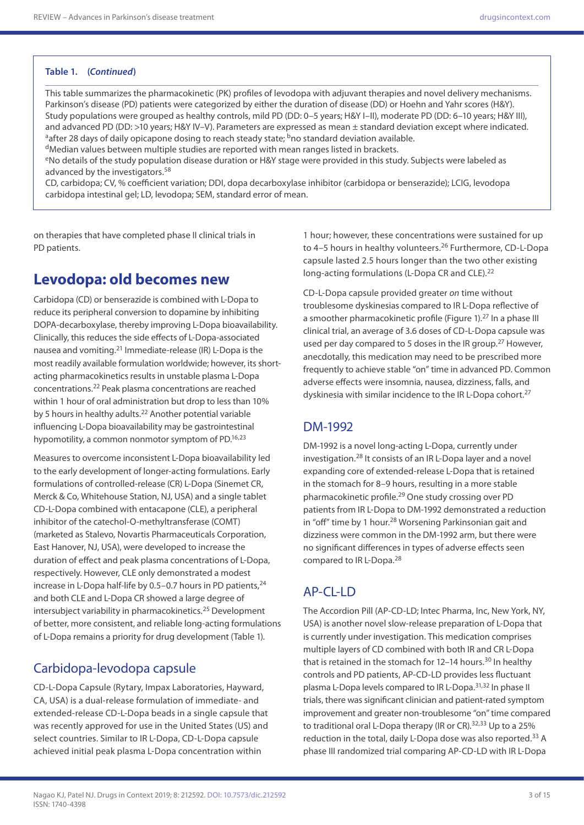#### **Table 1. (***Continued***)**

This table summarizes the pharmacokinetic (PK) profiles of levodopa with adjuvant therapies and novel delivery mechanisms. Parkinson's disease (PD) patients were categorized by either the duration of disease (DD) or Hoehn and Yahr scores (H&Y). Study populations were grouped as healthy controls, mild PD (DD: 0–5 years; H&Y I–II), moderate PD (DD: 6–10 years; H&Y III), and advanced PD (DD: >10 years; H&Y IV–V). Parameters are expressed as mean ± standard deviation except where indicated. <sup>a</sup>after 28 days of daily opicapone dosing to reach steady state; <sup>b</sup>no standard deviation available. dMedian values between multiple studies are reported with mean ranges listed in brackets.

eNo details of the study population disease duration or H&Y stage were provided in this study. Subjects were labeled as advanced by the investigators.<sup>58</sup>

CD, carbidopa; CV, % coefficient variation; DDI, dopa decarboxylase inhibitor (carbidopa or benserazide); LCIG, levodopa carbidopa intestinal gel; LD, levodopa; SEM, standard error of mean.

on therapies that have completed phase II clinical trials in PD patients.

# **Levodopa: old becomes new**

Carbidopa (CD) or benserazide is combined with L-Dopa to reduce its peripheral conversion to dopamine by inhibiting DOPA-decarboxylase, thereby improving L-Dopa bioavailability. Clinically, this reduces the side effects of L-Dopa-associated nausea and vomiting.21 Immediate-release (IR) L-Dopa is the most readily available formulation worldwide; however, its shortacting pharmacokinetics results in unstable plasma L-Dopa concentrations.22 Peak plasma concentrations are reached within 1 hour of oral administration but drop to less than 10% by 5 hours in healthy adults.<sup>22</sup> Another potential variable influencing L-Dopa bioavailability may be gastrointestinal hypomotility, a common nonmotor symptom of PD.<sup>16,23</sup>

Measures to overcome inconsistent L-Dopa bioavailability led to the early development of longer-acting formulations. Early formulations of controlled-release (CR) L-Dopa (Sinemet CR, Merck & Co, Whitehouse Station, NJ, USA) and a single tablet CD-L-Dopa combined with entacapone (CLE), a peripheral inhibitor of the catechol-O-methyltransferase (COMT) (marketed as Stalevo, Novartis Pharmaceuticals Corporation, East Hanover, NJ, USA), were developed to increase the duration of effect and peak plasma concentrations of L-Dopa, respectively. However, CLE only demonstrated a modest increase in L-Dopa half-life by  $0.5-0.7$  hours in PD patients.<sup>24</sup> and both CLE and L-Dopa CR showed a large degree of intersubject variability in pharmacokinetics.25 Development of better, more consistent, and reliable long-acting formulations of L-Dopa remains a priority for drug development (Table 1).

## Carbidopa-levodopa capsule

CD-L-Dopa Capsule (Rytary, Impax Laboratories, Hayward, CA, USA) is a dual-release formulation of immediate- and extended-release CD-L-Dopa beads in a single capsule that was recently approved for use in the United States (US) and select countries. Similar to IR L-Dopa, CD-L-Dopa capsule achieved initial peak plasma L-Dopa concentration within

1 hour; however, these concentrations were sustained for up to 4-5 hours in healthy volunteers.<sup>26</sup> Furthermore, CD-L-Dopa capsule lasted 2.5 hours longer than the two other existing long-acting formulations (L-Dopa CR and CLE).<sup>22</sup>

CD-L-Dopa capsule provided greater *on* time without troublesome dyskinesias compared to IR L-Dopa reflective of a smoother pharmacokinetic profile (Figure 1).<sup>27</sup> In a phase III clinical trial, an average of 3.6 doses of CD-L-Dopa capsule was used per day compared to 5 doses in the IR group.<sup>27</sup> However, anecdotally, this medication may need to be prescribed more frequently to achieve stable "on" time in advanced PD. Common adverse effects were insomnia, nausea, dizziness, falls, and dyskinesia with similar incidence to the IR L-Dopa cohort.<sup>27</sup>

### DM-1992

DM-1992 is a novel long-acting L-Dopa, currently under investigation.28 It consists of an IR L-Dopa layer and a novel expanding core of extended-release L-Dopa that is retained in the stomach for 8–9 hours, resulting in a more stable pharmacokinetic profile.<sup>29</sup> One study crossing over PD patients from IR L-Dopa to DM-1992 demonstrated a reduction in "off" time by 1 hour.<sup>28</sup> Worsening Parkinsonian gait and dizziness were common in the DM-1992 arm, but there were no significant differences in types of adverse effects seen compared to IR L-Dopa.<sup>28</sup>

## AP-CL-LD

The Accordion Pill (AP-CD-LD; Intec Pharma, Inc, New York, NY, USA) is another novel slow-release preparation of L-Dopa that is currently under investigation. This medication comprises multiple layers of CD combined with both IR and CR L-Dopa that is retained in the stomach for 12–14 hours.<sup>30</sup> In healthy controls and PD patients, AP-CD-LD provides less fluctuant plasma L-Dopa levels compared to IR L-Dopa.31,32 In phase II trials, there was significant clinician and patient-rated symptom improvement and greater non-troublesome "on" time compared to traditional oral L-Dopa therapy (IR or  $CR$ ).<sup>32,33</sup> Up to a 25% reduction in the total, daily L-Dopa dose was also reported.<sup>33</sup> A phase III randomized trial comparing AP-CD-LD with IR L-Dopa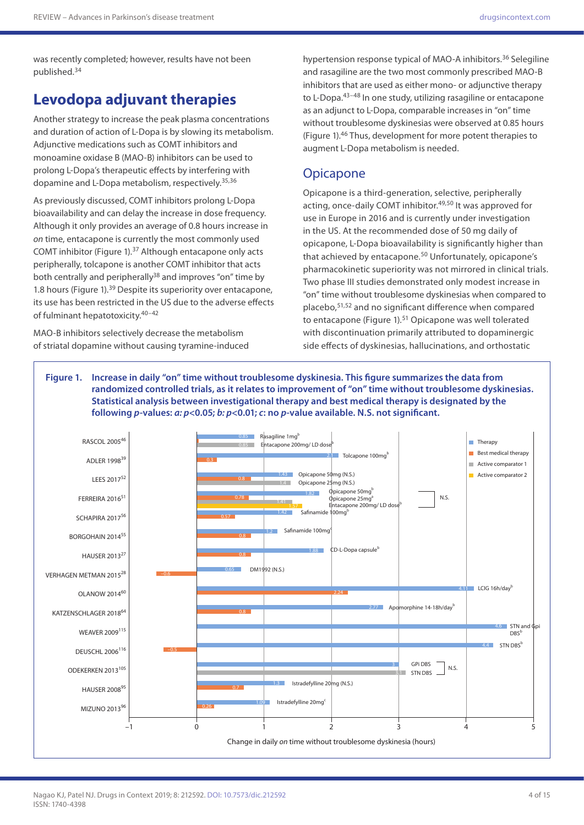was recently completed; however, results have not been published.34

## **Levodopa adjuvant therapies**

Another strategy to increase the peak plasma concentrations and duration of action of L-Dopa is by slowing its metabolism. Adjunctive medications such as COMT inhibitors and monoamine oxidase B (MAO-B) inhibitors can be used to prolong L-Dopa's therapeutic effects by interfering with dopamine and L-Dopa metabolism, respectively.35,36

As previously discussed, COMT inhibitors prolong L-Dopa bioavailability and can delay the increase in dose frequency. Although it only provides an average of 0.8 hours increase in *on* time, entacapone is currently the most commonly used COMT inhibitor (Figure 1).37 Although entacapone only acts peripherally, tolcapone is another COMT inhibitor that acts both centrally and peripherally<sup>38</sup> and improves "on" time by 1.8 hours (Figure 1).<sup>39</sup> Despite its superiority over entacapone, its use has been restricted in the US due to the adverse effects of fulminant hepatotoxicity.40–42

MAO-B inhibitors selectively decrease the metabolism of striatal dopamine without causing tyramine-induced

hypertension response typical of MAO-A inhibitors.<sup>36</sup> Selegiline and rasagiline are the two most commonly prescribed MAO-B inhibitors that are used as either mono- or adjunctive therapy to L-Dopa.<sup>43-48</sup> In one study, utilizing rasagiline or entacapone as an adjunct to L-Dopa, comparable increases in "on" time without troublesome dyskinesias were observed at 0.85 hours (Figure 1).46 Thus, development for more potent therapies to augment L-Dopa metabolism is needed.

#### **Opicapone**

Opicapone is a third-generation, selective, peripherally acting, once-daily COMT inhibitor.<sup>49,50</sup> It was approved for use in Europe in 2016 and is currently under investigation in the US. At the recommended dose of 50 mg daily of opicapone, L-Dopa bioavailability is significantly higher than that achieved by entacapone.<sup>50</sup> Unfortunately, opicapone's pharmacokinetic superiority was not mirrored in clinical trials. Two phase III studies demonstrated only modest increase in "on" time without troublesome dyskinesias when compared to placebo,51,52 and no significant difference when compared to entacapone (Figure 1).<sup>51</sup> Opicapone was well tolerated with discontinuation primarily attributed to dopaminergic side effects of dyskinesias, hallucinations, and orthostatic

**Figure 1. Increase in daily "on" time without troublesome dyskinesia. This figure summarizes the data from randomized controlled trials, as it relates to improvement of "on" time without troublesome dyskinesias. Statistical analysis between investigational therapy and best medical therapy is designated by the following** *p***-values:** *a: p***<0.05;** *b: p***<0.01;** *c***: no** *p***-value available. N.S. not significant.**

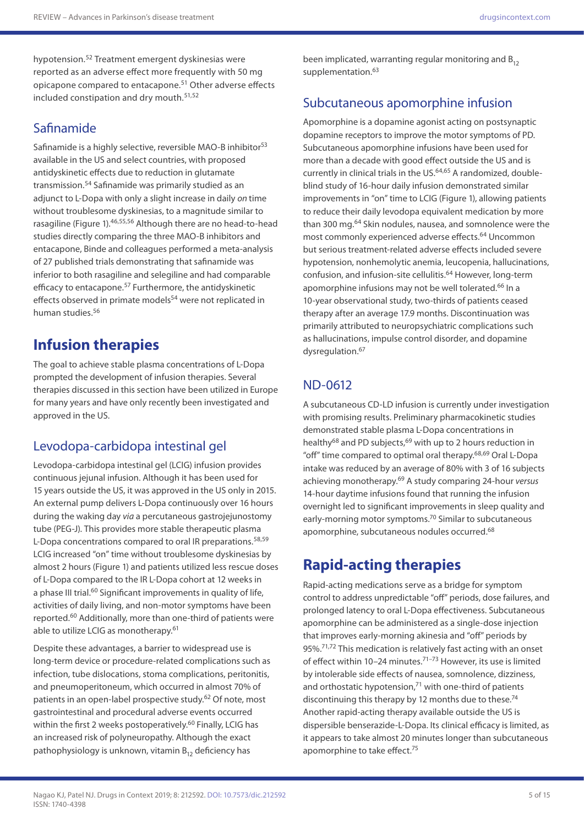hypotension.52 Treatment emergent dyskinesias were reported as an adverse effect more frequently with 50 mg opicapone compared to entacapone.51 Other adverse effects included constipation and dry mouth.51,52

### Safinamide

Safinamide is a highly selective, reversible MAO-B inhibitor<sup>53</sup> available in the US and select countries, with proposed antidyskinetic effects due to reduction in glutamate transmission.54 Safinamide was primarily studied as an adjunct to L-Dopa with only a slight increase in daily *on* time without troublesome dyskinesias, to a magnitude similar to rasagiline (Figure 1).46,55,56 Although there are no head-to-head studies directly comparing the three MAO-B inhibitors and entacapone, Binde and colleagues performed a meta-analysis of 27 published trials demonstrating that safinamide was inferior to both rasagiline and selegiline and had comparable efficacy to entacapone.<sup>57</sup> Furthermore, the antidyskinetic effects observed in primate models<sup>54</sup> were not replicated in human studies.<sup>56</sup>

# **Infusion therapies**

The goal to achieve stable plasma concentrations of L-Dopa prompted the development of infusion therapies. Several therapies discussed in this section have been utilized in Europe for many years and have only recently been investigated and approved in the US.

### Levodopa-carbidopa intestinal gel

Levodopa-carbidopa intestinal gel (LCIG) infusion provides continuous jejunal infusion. Although it has been used for 15 years outside the US, it was approved in the US only in 2015. An external pump delivers L-Dopa continuously over 16 hours during the waking day *via* a percutaneous gastrojejunostomy tube (PEG-J). This provides more stable therapeutic plasma L-Dopa concentrations compared to oral IR preparations.<sup>58,59</sup> LCIG increased "on" time without troublesome dyskinesias by almost 2 hours (Figure 1) and patients utilized less rescue doses of L-Dopa compared to the IR L-Dopa cohort at 12 weeks in a phase III trial.<sup>60</sup> Significant improvements in quality of life, activities of daily living, and non-motor symptoms have been reported.60 Additionally, more than one-third of patients were able to utilize LCIG as monotherapy.<sup>61</sup>

Despite these advantages, a barrier to widespread use is long-term device or procedure-related complications such as infection, tube dislocations, stoma complications, peritonitis, and pneumoperitoneum, which occurred in almost 70% of patients in an open-label prospective study.<sup>62</sup> Of note, most gastrointestinal and procedural adverse events occurred within the first 2 weeks postoperatively.<sup>60</sup> Finally, LCIG has an increased risk of polyneuropathy. Although the exact pathophysiology is unknown, vitamin  $B_{12}$  deficiency has

been implicated, warranting regular monitoring and  $B_{12}$ supplementation.<sup>63</sup>

### Subcutaneous apomorphine infusion

Apomorphine is a dopamine agonist acting on postsynaptic dopamine receptors to improve the motor symptoms of PD. Subcutaneous apomorphine infusions have been used for more than a decade with good effect outside the US and is currently in clinical trials in the US.<sup>64,65</sup> A randomized, doubleblind study of 16-hour daily infusion demonstrated similar improvements in "on" time to LCIG (Figure 1), allowing patients to reduce their daily levodopa equivalent medication by more than 300 mg.<sup>64</sup> Skin nodules, nausea, and somnolence were the most commonly experienced adverse effects.64 Uncommon but serious treatment-related adverse effects included severe hypotension, nonhemolytic anemia, leucopenia, hallucinations, confusion, and infusion-site cellulitis.64 However, long-term apomorphine infusions may not be well tolerated.<sup>66</sup> In a 10-year observational study, two-thirds of patients ceased therapy after an average 17.9 months. Discontinuation was primarily attributed to neuropsychiatric complications such as hallucinations, impulse control disorder, and dopamine dysregulation.<sup>67</sup>

### ND-0612

A subcutaneous CD-LD infusion is currently under investigation with promising results. Preliminary pharmacokinetic studies demonstrated stable plasma L-Dopa concentrations in healthy<sup>68</sup> and PD subjects,<sup>69</sup> with up to 2 hours reduction in "off" time compared to optimal oral therapy.68,69 Oral L-Dopa intake was reduced by an average of 80% with 3 of 16 subjects achieving monotherapy.69 A study comparing 24-hour *versus* 14-hour daytime infusions found that running the infusion overnight led to significant improvements in sleep quality and early-morning motor symptoms.<sup>70</sup> Similar to subcutaneous apomorphine, subcutaneous nodules occurred.<sup>68</sup>

## **Rapid-acting therapies**

Rapid-acting medications serve as a bridge for symptom control to address unpredictable "off" periods, dose failures, and prolonged latency to oral L-Dopa effectiveness. Subcutaneous apomorphine can be administered as a single-dose injection that improves early-morning akinesia and "off" periods by 95%.71,72 This medication is relatively fast acting with an onset of effect within 10–24 minutes.71–73 However, its use is limited by intolerable side effects of nausea, somnolence, dizziness, and orthostatic hypotension, $71$  with one-third of patients discontinuing this therapy by 12 months due to these.<sup>74</sup> Another rapid-acting therapy available outside the US is dispersible benserazide-L-Dopa. Its clinical efficacy is limited, as it appears to take almost 20 minutes longer than subcutaneous apomorphine to take effect.<sup>75</sup>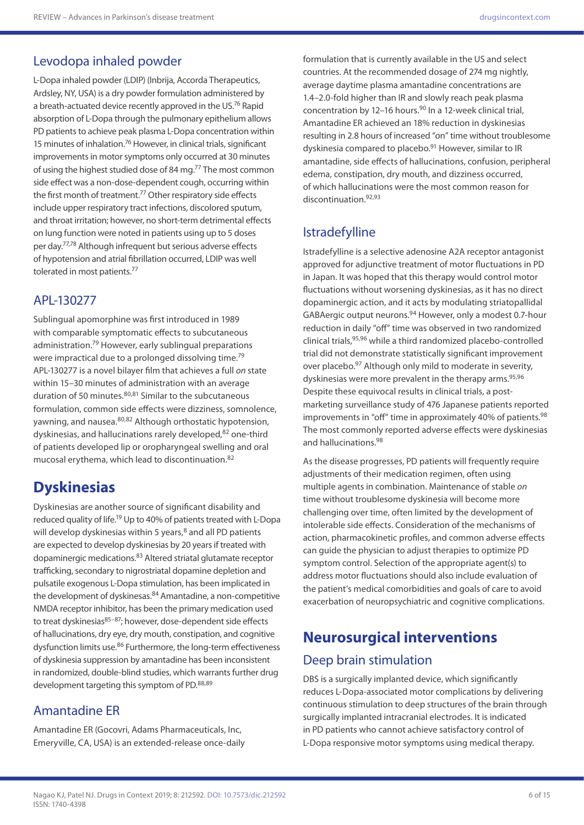### Levodopa inhaled powder

L-Dopa inhaled powder (LDIP) (Inbrija, Accorda Therapeutics, Ardsley, NY, USA) is a dry powder formulation administered by a breath-actuated device recently approved in the US.<sup>76</sup> Rapid absorption of L-Dopa through the pulmonary epithelium allows PD patients to achieve peak plasma L-Dopa concentration within 15 minutes of inhalation.<sup>76</sup> However, in clinical trials, significant improvements in motor symptoms only occurred at 30 minutes of using the highest studied dose of 84 mg.<sup>77</sup> The most common side effect was a non-dose-dependent cough, occurring within the first month of treatment.<sup>77</sup> Other respiratory side effects include upper respiratory tract infections, discolored sputum, and throat irritation; however, no short-term detrimental effects on lung function were noted in patients using up to 5 doses per day.77,78 Although infrequent but serious adverse effects of hypotension and atrial fibrillation occurred, LDIP was well tolerated in most patients.<sup>77</sup>

#### APL-130277

Sublingual apomorphine was first introduced in 1989 with comparable symptomatic effects to subcutaneous administration.<sup>79</sup> However, early sublingual preparations were impractical due to a prolonged dissolving time.<sup>79</sup> APL-130277 is a novel bilayer film that achieves a full *on* state within 15–30 minutes of administration with an average duration of 50 minutes.<sup>80,81</sup> Similar to the subcutaneous formulation, common side effects were dizziness, somnolence, yawning, and nausea.<sup>80,82</sup> Although orthostatic hypotension, dyskinesias, and hallucinations rarely developed, 82 one-third of patients developed lip or oropharyngeal swelling and oral mucosal erythema, which lead to discontinuation.82

## **Dyskinesias**

Dyskinesias are another source of significant disability and reduced quality of life.19 Up to 40% of patients treated with L-Dopa will develop dyskinesias within 5 years, $8$  and all PD patients are expected to develop dyskinesias by 20 years if treated with dopaminergic medications.83 Altered striatal glutamate receptor trafficking, secondary to nigrostriatal dopamine depletion and pulsatile exogenous L-Dopa stimulation, has been implicated in the development of dyskinesas.<sup>84</sup> Amantadine, a non-competitive NMDA receptor inhibitor, has been the primary medication used to treat dyskinesias<sup>85-87</sup>; however, dose-dependent side effects of hallucinations, dry eye, dry mouth, constipation, and cognitive dysfunction limits use.<sup>86</sup> Furthermore, the long-term effectiveness of dyskinesia suppression by amantadine has been inconsistent in randomized, double-blind studies, which warrants further drug development targeting this symptom of PD.<sup>88,89</sup>

#### Amantadine ER

Amantadine ER (Gocovri, Adams Pharmaceuticals, Inc, Emeryville, CA, USA) is an extended-release once-daily formulation that is currently available in the US and select countries. At the recommended dosage of 274 mg nightly, average daytime plasma amantadine concentrations are 1.4–2.0-fold higher than IR and slowly reach peak plasma concentration by 12-16 hours. $90$  In a 12-week clinical trial, Amantadine ER achieved an 18% reduction in dyskinesias resulting in 2.8 hours of increased "on" time without troublesome dyskinesia compared to placebo.91 However, similar to IR amantadine, side effects of hallucinations, confusion, peripheral edema, constipation, dry mouth, and dizziness occurred, of which hallucinations were the most common reason for discontinuation.92,93

#### Istradefylline

Istradefylline is a selective adenosine A2A receptor antagonist approved for adjunctive treatment of motor fluctuations in PD in Japan. It was hoped that this therapy would control motor fluctuations without worsening dyskinesias, as it has no direct dopaminergic action, and it acts by modulating striatopallidal GABAergic output neurons.94 However, only a modest 0.7-hour reduction in daily "off" time was observed in two randomized clinical trials,95,96 while a third randomized placebo-controlled trial did not demonstrate statistically significant improvement over placebo.<sup>97</sup> Although only mild to moderate in severity, dyskinesias were more prevalent in the therapy arms.<sup>95,96</sup> Despite these equivocal results in clinical trials, a postmarketing surveillance study of 476 Japanese patients reported improvements in "off" time in approximately 40% of patients.<sup>98</sup> The most commonly reported adverse effects were dyskinesias and hallucinations.98

As the disease progresses, PD patients will frequently require adjustments of their medication regimen, often using multiple agents in combination. Maintenance of stable *on*  time without troublesome dyskinesia will become more challenging over time, often limited by the development of intolerable side effects. Consideration of the mechanisms of action, pharmacokinetic profiles, and common adverse effects can guide the physician to adjust therapies to optimize PD symptom control. Selection of the appropriate agent(s) to address motor fluctuations should also include evaluation of the patient's medical comorbidities and goals of care to avoid exacerbation of neuropsychiatric and cognitive complications.

# **Neurosurgical interventions** Deep brain stimulation

DBS is a surgically implanted device, which significantly reduces L-Dopa-associated motor complications by delivering continuous stimulation to deep structures of the brain through surgically implanted intracranial electrodes. It is indicated in PD patients who cannot achieve satisfactory control of L-Dopa responsive motor symptoms using medical therapy.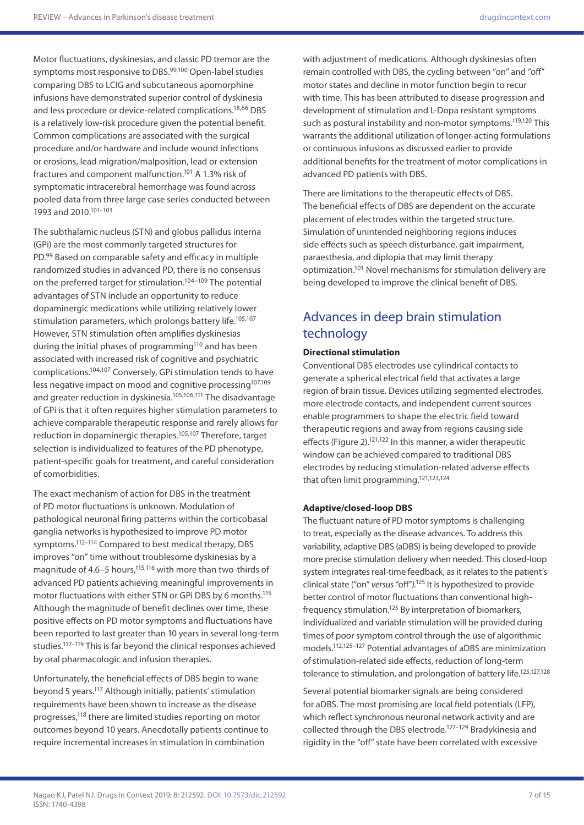Motor fluctuations, dyskinesias, and classic PD tremor are the symptoms most responsive to DBS.<sup>99,100</sup> Open-label studies comparing DBS to LCIG and subcutaneous apomorphine infusions have demonstrated superior control of dyskinesia and less procedure or device-related complications.18,66 DBS is a relatively low-risk procedure given the potential benefit. Common complications are associated with the surgical procedure and/or hardware and include wound infections or erosions, lead migration/malposition, lead or extension fractures and component malfunction.101 A 1.3% risk of symptomatic intracerebral hemorrhage was found across pooled data from three large case series conducted between 1993 and 2010.101–103

The subthalamic nucleus (STN) and globus pallidus interna (GPi) are the most commonly targeted structures for PD.99 Based on comparable safety and efficacy in multiple randomized studies in advanced PD, there is no consensus on the preferred target for stimulation.<sup>104-109</sup> The potential advantages of STN include an opportunity to reduce dopaminergic medications while utilizing relatively lower stimulation parameters, which prolongs battery life.<sup>105,107</sup> However, STN stimulation often amplifies dyskinesias during the initial phases of programming<sup>110</sup> and has been associated with increased risk of cognitive and psychiatric complications.104,107 Conversely, GPi stimulation tends to have less negative impact on mood and cognitive processing<sup>107,109</sup> and greater reduction in dyskinesia.<sup>105,106,111</sup> The disadvantage of GPi is that it often requires higher stimulation parameters to achieve comparable therapeutic response and rarely allows for reduction in dopaminergic therapies.105,107 Therefore, target selection is individualized to features of the PD phenotype, patient-specific goals for treatment, and careful consideration of comorbidities.

The exact mechanism of action for DBS in the treatment of PD motor fluctuations is unknown. Modulation of pathological neuronal firing patterns within the corticobasal ganglia networks is hypothesized to improve PD motor symptoms.112–114 Compared to best medical therapy, DBS improves "on" time without troublesome dyskinesias by a magnitude of 4.6–5 hours,<sup>115,116</sup> with more than two-thirds of advanced PD patients achieving meaningful improvements in motor fluctuations with either STN or GPi DBS by 6 months.115 Although the magnitude of benefit declines over time, these positive effects on PD motor symptoms and fluctuations have been reported to last greater than 10 years in several long-term studies.117–119 This is far beyond the clinical responses achieved by oral pharmacologic and infusion therapies.

Unfortunately, the beneficial effects of DBS begin to wane beyond 5 years.117 Although initially, patients' stimulation requirements have been shown to increase as the disease progresses,118 there are limited studies reporting on motor outcomes beyond 10 years. Anecdotally patients continue to require incremental increases in stimulation in combination

with adjustment of medications. Although dyskinesias often remain controlled with DBS, the cycling between "on" and "off" motor states and decline in motor function begin to recur with time. This has been attributed to disease progression and development of stimulation and L-Dopa resistant symptoms such as postural instability and non-motor symptoms.<sup>119,120</sup> This warrants the additional utilization of longer-acting formulations or continuous infusions as discussed earlier to provide additional benefits for the treatment of motor complications in advanced PD patients with DBS.

There are limitations to the therapeutic effects of DBS. The beneficial effects of DBS are dependent on the accurate placement of electrodes within the targeted structure. Simulation of unintended neighboring regions induces side effects such as speech disturbance, gait impairment, paraesthesia, and diplopia that may limit therapy optimization.101 Novel mechanisms for stimulation delivery are being developed to improve the clinical benefit of DBS.

## Advances in deep brain stimulation technology

#### **Directional stimulation**

Conventional DBS electrodes use cylindrical contacts to generate a spherical electrical field that activates a large region of brain tissue. Devices utilizing segmented electrodes, more electrode contacts, and independent current sources enable programmers to shape the electric field toward therapeutic regions and away from regions causing side effects (Figure 2).<sup>121,122</sup> In this manner, a wider therapeutic window can be achieved compared to traditional DBS electrodes by reducing stimulation-related adverse effects that often limit programming.121,123,124

#### **Adaptive/closed-loop DBS**

The fluctuant nature of PD motor symptoms is challenging to treat, especially as the disease advances. To address this variability, adaptive DBS (aDBS) is being developed to provide more precise stimulation delivery when needed. This closed-loop system integrates real-time feedback, as it relates to the patient's clinical state ("on" *versus "*off"*).*125 It is hypothesized to provide better control of motor fluctuations than conventional highfrequency stimulation.125 By interpretation of biomarkers, individualized and variable stimulation will be provided during times of poor symptom control through the use of algorithmic models.112,125–127 Potential advantages of aDBS are minimization of stimulation-related side effects, reduction of long-term tolerance to stimulation, and prolongation of battery life.<sup>125,127,128</sup>

Several potential biomarker signals are being considered for aDBS. The most promising are local field potentials (LFP), which reflect synchronous neuronal network activity and are collected through the DBS electrode.127–129 Bradykinesia and rigidity in the "off" state have been correlated with excessive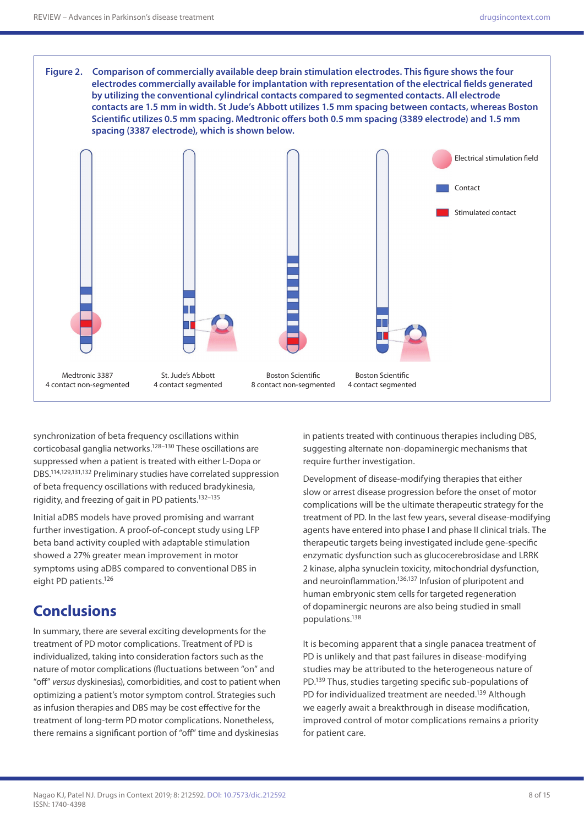

synchronization of beta frequency oscillations within corticobasal ganglia networks.128–130 These oscillations are suppressed when a patient is treated with either L-Dopa or DBS.114,129,131,132 Preliminary studies have correlated suppression of beta frequency oscillations with reduced bradykinesia, rigidity, and freezing of gait in PD patients.132–135

Initial aDBS models have proved promising and warrant further investigation. A proof-of-concept study using LFP beta band activity coupled with adaptable stimulation showed a 27% greater mean improvement in motor symptoms using aDBS compared to conventional DBS in eight PD patients.126

# **Conclusions**

In summary, there are several exciting developments for the treatment of PD motor complications. Treatment of PD is individualized, taking into consideration factors such as the nature of motor complications (fluctuations between "on" and "off" *versus* dyskinesias), comorbidities, and cost to patient when optimizing a patient's motor symptom control. Strategies such as infusion therapies and DBS may be cost effective for the treatment of long-term PD motor complications. Nonetheless, there remains a significant portion of "off" time and dyskinesias

in patients treated with continuous therapies including DBS, suggesting alternate non-dopaminergic mechanisms that require further investigation.

Development of disease-modifying therapies that either slow or arrest disease progression before the onset of motor complications will be the ultimate therapeutic strategy for the treatment of PD. In the last few years, several disease-modifying agents have entered into phase I and phase II clinical trials. The therapeutic targets being investigated include gene-specific enzymatic dysfunction such as glucocerebrosidase and LRRK 2 kinase, alpha synuclein toxicity, mitochondrial dysfunction, and neuroinflammation.136,137 Infusion of pluripotent and human embryonic stem cells for targeted regeneration of dopaminergic neurons are also being studied in small populations.138

It is becoming apparent that a single panacea treatment of PD is unlikely and that past failures in disease-modifying studies may be attributed to the heterogeneous nature of PD.139 Thus, studies targeting specific sub-populations of PD for individualized treatment are needed.<sup>139</sup> Although we eagerly await a breakthrough in disease modification, improved control of motor complications remains a priority for patient care.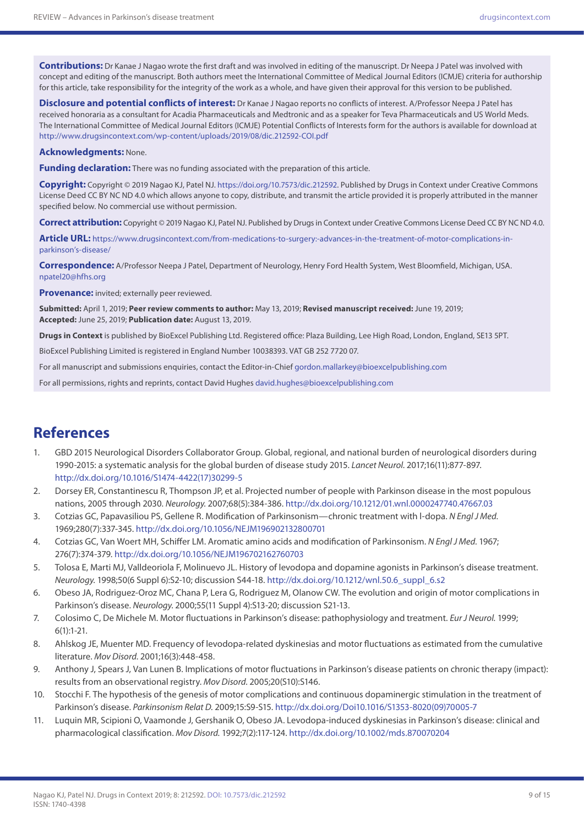**Contributions:** Dr Kanae J Nagao wrote the first draft and was involved in editing of the manuscript. Dr Neepa J Patel was involved with concept and editing of the manuscript. Both authors meet the International Committee of Medical Journal Editors (ICMJE) criteria for authorship for this article, take responsibility for the integrity of the work as a whole, and have given their approval for this version to be published.

**Disclosure and potential conflicts of interest:** Dr Kanae J Nagao reports no conflicts of interest. A/Professor Neepa J Patel has received honoraria as a consultant for Acadia Pharmaceuticals and Medtronic and as a speaker for Teva Pharmaceuticals and US World Meds. The International Committee of Medical Journal Editors (ICMJE) Potential Conflicts of Interests form for the authors is available for download at <http://www.drugsincontext.com/wp-content/uploads/2019/08/dic.212592-COI.pdf>

#### **Acknowledgments:** None.

**Funding declaration:** There was no funding associated with the preparation of this article.

**Copyright:** Copyright © 2019 Nagao KJ, Patel NJ. [https://doi.org/10.7573/dic.212592.](https://doi.org/10.7573/dic.212592) Published by Drugs in Context under Creative Commons License Deed CC BY NC ND 4.0 which allows anyone to copy, distribute, and transmit the article provided it is properly attributed in the manner specified below. No commercial use without permission.

**Correct attribution:** Copyright © 2019 Nagao KJ, Patel NJ. Published by Drugs in Context under Creative Commons License Deed CC BY NC ND 4.0.

**Article URL:** [https://www.drugsincontext.com/from-medications-to-surgery:-advances-in-the-treatment-of-motor-complications-in](https://www.drugsincontext.com/from-medications-to-surgery:-advances-in-the-treatment-of-motor-complications-in-parkinson)[parkinson's-disease/](https://www.drugsincontext.com/from-medications-to-surgery:-advances-in-the-treatment-of-motor-complications-in-parkinson)

**Correspondence:** A/Professor Neepa J Patel, Department of Neurology, Henry Ford Health System, West Bloomfield, Michigan, USA. [npatel20@hfhs.org](mailto:npatel20@hfhs.org)

**Provenance:** invited; externally peer reviewed.

**Submitted:** April 1, 2019; **Peer review comments to author:** May 13, 2019; **Revised manuscript received:** June 19, 2019; **Accepted:** June 25, 2019; **Publication date:** August 13, 2019.

**Drugs in Context** is published by BioExcel Publishing Ltd. Registered office: Plaza Building, Lee High Road, London, England, SE13 5PT.

BioExcel Publishing Limited is registered in England Number 10038393. VAT GB 252 7720 07.

For all manuscript and submissions enquiries, contact the Editor-in-Chief [gordon.mallarkey@bioexcelpublishing.com](mailto:gordon.mallarkey@bioexcelpublishing.com)

For all permissions, rights and reprints, contact David Hughes [david.hughes@bioexcelpublishing.com](mailto:david.hughes@bioexcelpublishing.com)

## **References**

- 1. GBD 2015 Neurological Disorders Collaborator Group. Global, regional, and national burden of neurological disorders during 1990-2015: a systematic analysis for the global burden of disease study 2015. *Lancet Neurol.* 2017;16(11):877-897. [http://dx.doi.org/10.1016/S1474-4422\(17\)30299-5](http://dx.doi.org/10.1016/S1474-4422(17)30299-5)
- 2. Dorsey ER, Constantinescu R, Thompson JP, et al. Projected number of people with Parkinson disease in the most populous nations, 2005 through 2030. *Neurology.* 2007;68(5):384-386.<http://dx.doi.org/10.1212/01.wnl.0000247740.47667.03>
- 3. Cotzias GC, Papavasiliou PS, Gellene R. Modification of Parkinsonism—chronic treatment with l-dopa. *N Engl J Med.*  1969;280(7):337-345. <http://dx.doi.org/10.1056/NEJM196902132800701>
- 4. Cotzias GC, Van Woert MH, Schiffer LM. Aromatic amino acids and modification of Parkinsonism. *N Engl J Med.* 1967; 276(7):374-379. <http://dx.doi.org/10.1056/NEJM196702162760703>
- 5. Tolosa E, Marti MJ, Valldeoriola F, Molinuevo JL. History of levodopa and dopamine agonists in Parkinson's disease treatment. *Neurology.* 1998;50(6 Suppl 6):S2-10; discussion S44-18. [http://dx.doi.org/10.1212/wnl.50.6\\_suppl\\_6.s2](http://dx.doi.org/10.1212/wnl.50.6_suppl_6.s2)
- 6. Obeso JA, Rodriguez-Oroz MC, Chana P, Lera G, Rodriguez M, Olanow CW. The evolution and origin of motor complications in Parkinson's disease. *Neurology.* 2000;55(11 Suppl 4):S13-20; discussion S21-13.
- 7. Colosimo C, De Michele M. Motor fluctuations in Parkinson's disease: pathophysiology and treatment. *Eur J Neurol.* 1999; 6(1):1-21.
- 8. Ahlskog JE, Muenter MD. Frequency of levodopa-related dyskinesias and motor fluctuations as estimated from the cumulative literature. *Mov Disord.* 2001;16(3):448-458.
- 9. Anthony J, Spears J, Van Lunen B. Implications of motor fluctuations in Parkinson's disease patients on chronic therapy (impact): results from an observational registry. *Mov Disord.* 2005;20(S10):S146.
- 10. Stocchi F. The hypothesis of the genesis of motor complications and continuous dopaminergic stimulation in the treatment of Parkinson's disease. *Parkinsonism Relat D.* 2009;15:S9-S15. [http://dx.doi.org/Doi1](http://dx.doi.org/Doi10.1016/S1353-8020(09)70005-7)0.1016/S1353-8020(09)70005-7
- 11. Luquin MR, Scipioni O, Vaamonde J, Gershanik O, Obeso JA. Levodopa-induced dyskinesias in Parkinson's disease: clinical and pharmacological classification. *Mov Disord.* 1992;7(2):117-124. <http://dx.doi.org/10.1002/mds.870070204>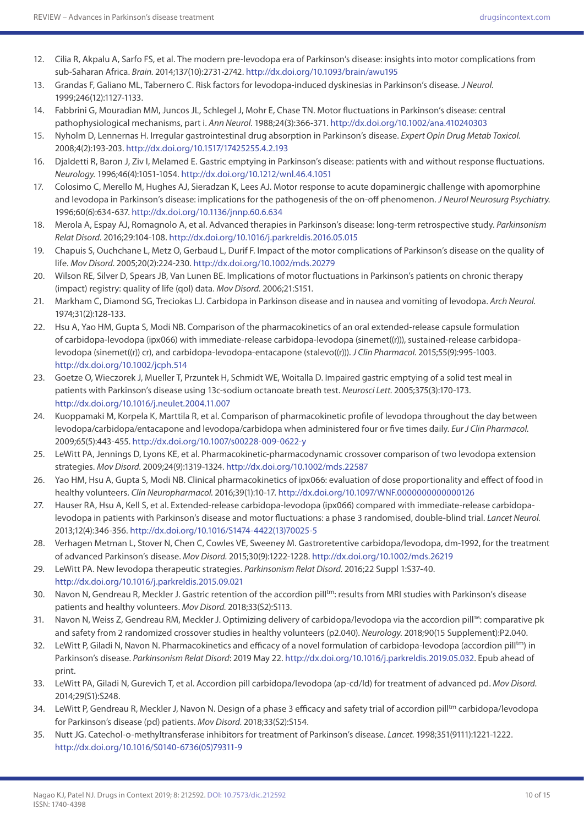- 12. Cilia R, Akpalu A, Sarfo FS, et al. The modern pre-levodopa era of Parkinson's disease: insights into motor complications from sub-Saharan Africa. *Brain.* 2014;137(10):2731-2742. <http://dx.doi.org/10.1093/brain/awu195>
- 13. Grandas F, Galiano ML, Tabernero C. Risk factors for levodopa-induced dyskinesias in Parkinson's disease. *J Neurol.*  1999;246(12):1127-1133.
- 14. Fabbrini G, Mouradian MM, Juncos JL, Schlegel J, Mohr E, Chase TN. Motor fluctuations in Parkinson's disease: central pathophysiological mechanisms, part i. *Ann Neurol.* 1988;24(3):366-371. <http://dx.doi.org/10.1002/ana.410240303>
- 15. Nyholm D, Lennernas H. Irregular gastrointestinal drug absorption in Parkinson's disease. *Expert Opin Drug Metab Toxicol.*  2008;4(2):193-203. <http://dx.doi.org/10.1517/17425255.4.2.193>
- 16. Djaldetti R, Baron J, Ziv I, Melamed E. Gastric emptying in Parkinson's disease: patients with and without response fluctuations. *Neurology.* 1996;46(4):1051-1054. <http://dx.doi.org/10.1212/wnl.46.4.1051>
- 17. Colosimo C, Merello M, Hughes AJ, Sieradzan K, Lees AJ. Motor response to acute dopaminergic challenge with apomorphine and levodopa in Parkinson's disease: implications for the pathogenesis of the on-off phenomenon. *J Neurol Neurosurg Psychiatry.*  1996;60(6):634-637.<http://dx.doi.org/10.1136/jnnp.60.6.634>
- 18. Merola A, Espay AJ, Romagnolo A, et al. Advanced therapies in Parkinson's disease: long-term retrospective study. *Parkinsonism Relat Disord.* 2016;29:104-108. <http://dx.doi.org/10.1016/j.parkreldis.2016.05.015>
- 19. Chapuis S, Ouchchane L, Metz O, Gerbaud L, Durif F. Impact of the motor complications of Parkinson's disease on the quality of life. *Mov Disord.* 2005;20(2):224-230.<http://dx.doi.org/10.1002/mds.20279>
- 20. Wilson RE, Silver D, Spears JB, Van Lunen BE. Implications of motor fluctuations in Parkinson's patients on chronic therapy (impact) registry: quality of life (qol) data. *Mov Disord.* 2006;21:S151.
- 21. Markham C, Diamond SG, Treciokas LJ. Carbidopa in Parkinson disease and in nausea and vomiting of levodopa. *Arch Neurol.*  1974;31(2):128-133.
- 22. Hsu A, Yao HM, Gupta S, Modi NB. Comparison of the pharmacokinetics of an oral extended-release capsule formulation of carbidopa-levodopa (ipx066) with immediate-release carbidopa-levodopa (sinemet((r))), sustained-release carbidopalevodopa (sinemet((r)) cr), and carbidopa-levodopa-entacapone (stalevo((r))). *J Clin Pharmacol.* 2015;55(9):995-1003. <http://dx.doi.org/10.1002/jcph.514>
- 23. Goetze O, Wieczorek J, Mueller T, Przuntek H, Schmidt WE, Woitalla D. Impaired gastric emptying of a solid test meal in patients with Parkinson's disease using 13c-sodium octanoate breath test. *Neurosci Lett.* 2005;375(3):170-173. <http://dx.doi.org/10.1016/j.neulet.2004.11.007>
- 24. Kuoppamaki M, Korpela K, Marttila R, et al. Comparison of pharmacokinetic profile of levodopa throughout the day between levodopa/carbidopa/entacapone and levodopa/carbidopa when administered four or five times daily. *Eur J Clin Pharmacol.*  2009;65(5):443-455.<http://dx.doi.org/10.1007/s00228-009-0622-y>
- 25. LeWitt PA, Jennings D, Lyons KE, et al. Pharmacokinetic-pharmacodynamic crossover comparison of two levodopa extension strategies. *Mov Disord.* 2009;24(9):1319-1324. <http://dx.doi.org/10.1002/mds.22587>
- 26. Yao HM, Hsu A, Gupta S, Modi NB. Clinical pharmacokinetics of ipx066: evaluation of dose proportionality and effect of food in healthy volunteers. *Clin Neuropharmacol.* 2016;39(1):10-17. <http://dx.doi.org/10.1097/WNF.0000000000000126>
- 27. Hauser RA, Hsu A, Kell S, et al. Extended-release carbidopa-levodopa (ipx066) compared with immediate-release carbidopalevodopa in patients with Parkinson's disease and motor fluctuations: a phase 3 randomised, double-blind trial. *Lancet Neurol.*  2013;12(4):346-356. [http://dx.doi.org/10.1016/S1474-4422\(13\)70025-5](http://dx.doi.org/10.1016/S1474-4422(13)70025-5)
- 28. Verhagen Metman L, Stover N, Chen C, Cowles VE, Sweeney M. Gastroretentive carbidopa/levodopa, dm-1992, for the treatment of advanced Parkinson's disease. *Mov Disord.* 2015;30(9):1222-1228.<http://dx.doi.org/10.1002/mds.26219>
- 29. LeWitt PA. New levodopa therapeutic strategies. *Parkinsonism Relat Disord.* 2016;22 Suppl 1:S37-40. <http://dx.doi.org/10.1016/j.parkreldis.2015.09.021>
- 30. Navon N, Gendreau R, Meckler J. Gastric retention of the accordion pill<sup>tm</sup>: results from MRI studies with Parkinson's disease patients and healthy volunteers. *Mov Disord.* 2018;33(S2):S113.
- 31. Navon N, Weiss Z, Gendreau RM, Meckler J. Optimizing delivery of carbidopa/levodopa via the accordion pill™: comparative pk and safety from 2 randomized crossover studies in healthy volunteers (p2.040). *Neurology.* 2018;90(15 Supplement):P2.040.
- 32. LeWitt P, Giladi N, Navon N. Pharmacokinetics and efficacy of a novel formulation of carbidopa-levodopa (accordion pilltm) in Parkinson's disease. *Parkinsonism Relat Disord*: 2019 May 22. <http://dx.doi.org/10.1016/j.parkreldis.2019.05.032>. Epub ahead of print.
- 33. LeWitt PA, Giladi N, Gurevich T, et al. Accordion pill carbidopa/levodopa (ap-cd/ld) for treatment of advanced pd. *Mov Disord.*  2014;29(S1):S248.
- 34. LeWitt P, Gendreau R, Meckler J, Navon N. Design of a phase 3 efficacy and safety trial of accordion pill<sup>tm</sup> carbidopa/levodopa for Parkinson's disease (pd) patients. *Mov Disord.* 2018;33(S2):S154.
- 35. Nutt JG. Catechol-o-methyltransferase inhibitors for treatment of Parkinson's disease. *Lancet.* 1998;351(9111):1221-1222. [http://dx.doi.org/10.1016/S0140-6736\(05\)79311-9](http://dx.doi.org/10.1016/S0140-6736(05)79311-9)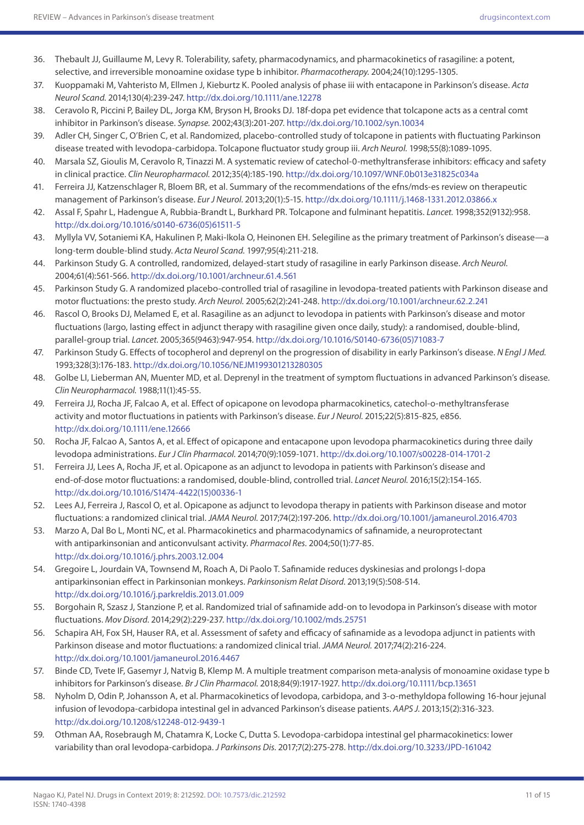- 36. Thebault JJ, Guillaume M, Levy R. Tolerability, safety, pharmacodynamics, and pharmacokinetics of rasagiline: a potent, selective, and irreversible monoamine oxidase type b inhibitor. *Pharmacotherapy.* 2004;24(10):1295-1305.
- 37. Kuoppamaki M, Vahteristo M, Ellmen J, Kieburtz K. Pooled analysis of phase iii with entacapone in Parkinson's disease. *Acta Neurol Scand.* 2014;130(4):239-247.<http://dx.doi.org/10.1111/ane.12278>
- 38. Ceravolo R, Piccini P, Bailey DL, Jorga KM, Bryson H, Brooks DJ. 18f-dopa pet evidence that tolcapone acts as a central comt inhibitor in Parkinson's disease. *Synapse.* 2002;43(3):201-207.<http://dx.doi.org/10.1002/syn.10034>
- 39. Adler CH, Singer C, O'Brien C, et al. Randomized, placebo-controlled study of tolcapone in patients with fluctuating Parkinson disease treated with levodopa-carbidopa. Tolcapone fluctuator study group iii. *Arch Neurol.* 1998;55(8):1089-1095.
- 40. Marsala SZ, Gioulis M, Ceravolo R, Tinazzi M. A systematic review of catechol-0-methyltransferase inhibitors: efficacy and safety in clinical practice. *Clin Neuropharmacol.* 2012;35(4):185-190.<http://dx.doi.org/10.1097/WNF.0b013e31825c034a>
- 41. Ferreira JJ, Katzenschlager R, Bloem BR, et al. Summary of the recommendations of the efns/mds-es review on therapeutic management of Parkinson's disease. *Eur J Neurol.* 2013;20(1):5-15.<http://dx.doi.org/10.1111/j.1468-1331.2012.03866.x>
- 42. Assal F, Spahr L, Hadengue A, Rubbia-Brandt L, Burkhard PR. Tolcapone and fulminant hepatitis. *Lancet.* 1998;352(9132):958. [http://dx.doi.org/10.1016/s0140-6736\(05\)61511-5](http://dx.doi.org/10.1016/s0140-6736(05)61511-5)
- 43. Myllyla VV, Sotaniemi KA, Hakulinen P, Maki-Ikola O, Heinonen EH. Selegiline as the primary treatment of Parkinson's disease—a long-term double-blind study. *Acta Neurol Scand.* 1997;95(4):211-218.
- 44. Parkinson Study G. A controlled, randomized, delayed-start study of rasagiline in early Parkinson disease. *Arch Neurol.*  2004;61(4):561-566. <http://dx.doi.org/10.1001/archneur.61.4.561>
- 45. Parkinson Study G. A randomized placebo-controlled trial of rasagiline in levodopa-treated patients with Parkinson disease and motor fluctuations: the presto study. *Arch Neurol.* 2005;62(2):241-248. <http://dx.doi.org/10.1001/archneur.62.2.241>
- 46. Rascol O, Brooks DJ, Melamed E, et al. Rasagiline as an adjunct to levodopa in patients with Parkinson's disease and motor fluctuations (largo, lasting effect in adjunct therapy with rasagiline given once daily, study): a randomised, double-blind, parallel-group trial. *Lancet.* 2005;365(9463):947-954. [http://dx.doi.org/10.1016/S0140-6736\(05\)71083-7](http://dx.doi.org/10.1016/S0140-6736(05)71083-7)
- 47. Parkinson Study G. Effects of tocopherol and deprenyl on the progression of disability in early Parkinson's disease. *N Engl J Med.*  1993;328(3):176-183.<http://dx.doi.org/10.1056/NEJM199301213280305>
- 48. Golbe LI, Lieberman AN, Muenter MD, et al. Deprenyl in the treatment of symptom fluctuations in advanced Parkinson's disease. *Clin Neuropharmacol.* 1988;11(1):45-55.
- 49. Ferreira JJ, Rocha JF, Falcao A, et al. Effect of opicapone on levodopa pharmacokinetics, catechol-o-methyltransferase activity and motor fluctuations in patients with Parkinson's disease. *Eur J Neurol.* 2015;22(5):815-825, e856. <http://dx.doi.org/10.1111/ene.12666>
- 50. Rocha JF, Falcao A, Santos A, et al. Effect of opicapone and entacapone upon levodopa pharmacokinetics during three daily levodopa administrations. *Eur J Clin Pharmacol.* 2014;70(9):1059-1071. <http://dx.doi.org/10.1007/s00228-014-1701-2>
- 51. Ferreira JJ, Lees A, Rocha JF, et al. Opicapone as an adjunct to levodopa in patients with Parkinson's disease and end-of-dose motor fluctuations: a randomised, double-blind, controlled trial. *Lancet Neurol.* 2016;15(2):154-165. [http://dx.doi.org/10.1016/S1474-4422\(15\)00336-1](http://dx.doi.org/10.1016/S1474-4422(15)00336-1)
- 52. Lees AJ, Ferreira J, Rascol O, et al. Opicapone as adjunct to levodopa therapy in patients with Parkinson disease and motor fluctuations: a randomized clinical trial. *JAMA Neurol.* 2017;74(2):197-206. <http://dx.doi.org/10.1001/jamaneurol.2016.4703>
- 53. Marzo A, Dal Bo L, Monti NC, et al. Pharmacokinetics and pharmacodynamics of safinamide, a neuroprotectant with antiparkinsonian and anticonvulsant activity. *Pharmacol Res.* 2004;50(1):77-85. <http://dx.doi.org/10.1016/j.phrs.2003.12.004>
- 54. Gregoire L, Jourdain VA, Townsend M, Roach A, Di Paolo T. Safinamide reduces dyskinesias and prolongs l-dopa antiparkinsonian effect in Parkinsonian monkeys. *Parkinsonism Relat Disord.* 2013;19(5):508-514. <http://dx.doi.org/10.1016/j.parkreldis.2013.01.009>
- 55. Borgohain R, Szasz J, Stanzione P, et al. Randomized trial of safinamide add-on to levodopa in Parkinson's disease with motor fluctuations. *Mov Disord.* 2014;29(2):229-237. <http://dx.doi.org/10.1002/mds.25751>
- 56. Schapira AH, Fox SH, Hauser RA, et al. Assessment of safety and efficacy of safinamide as a levodopa adjunct in patients with Parkinson disease and motor fluctuations: a randomized clinical trial. *JAMA Neurol.* 2017;74(2):216-224. <http://dx.doi.org/10.1001/jamaneurol.2016.4467>
- 57. Binde CD, Tvete IF, Gasemyr J, Natvig B, Klemp M. A multiple treatment comparison meta-analysis of monoamine oxidase type b inhibitors for Parkinson's disease. *Br J Clin Pharmacol.* 2018;84(9):1917-1927.<http://dx.doi.org/10.1111/bcp.13651>
- 58. Nyholm D, Odin P, Johansson A, et al. Pharmacokinetics of levodopa, carbidopa, and 3-o-methyldopa following 16-hour jejunal infusion of levodopa-carbidopa intestinal gel in advanced Parkinson's disease patients. *AAPS J.* 2013;15(2):316-323. <http://dx.doi.org/10.1208/s12248-012-9439-1>
- 59. Othman AA, Rosebraugh M, Chatamra K, Locke C, Dutta S. Levodopa-carbidopa intestinal gel pharmacokinetics: lower variability than oral levodopa-carbidopa. *J Parkinsons Dis.* 2017;7(2):275-278. <http://dx.doi.org/10.3233/JPD-161042>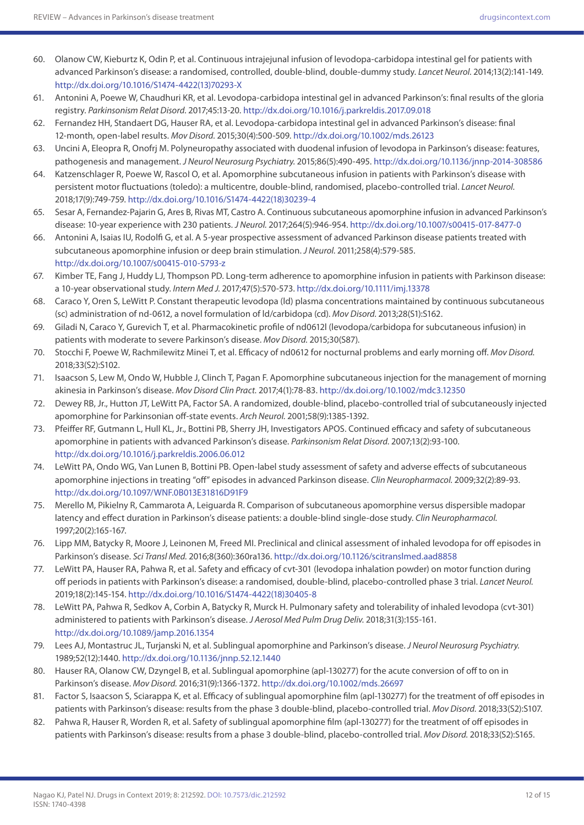- 60. Olanow CW, Kieburtz K, Odin P, et al. Continuous intrajejunal infusion of levodopa-carbidopa intestinal gel for patients with advanced Parkinson's disease: a randomised, controlled, double-blind, double-dummy study. *Lancet Neurol.* 2014;13(2):141-149. [http://dx.doi.org/10.1016/S1474-4422\(13\)70293-X](http://dx.doi.org/10.1016/S1474-4422(13)70293-X)
- 61. Antonini A, Poewe W, Chaudhuri KR, et al. Levodopa-carbidopa intestinal gel in advanced Parkinson's: final results of the gloria registry. *Parkinsonism Relat Disord.* 2017;45:13-20.<http://dx.doi.org/10.1016/j.parkreldis.2017.09.018>
- 62. Fernandez HH, Standaert DG, Hauser RA, et al. Levodopa-carbidopa intestinal gel in advanced Parkinson's disease: final 12-month, open-label results. *Mov Disord.* 2015;30(4):500-509.<http://dx.doi.org/10.1002/mds.26123>
- 63. Uncini A, Eleopra R, Onofrj M. Polyneuropathy associated with duodenal infusion of levodopa in Parkinson's disease: features, pathogenesis and management. *J Neurol Neurosurg Psychiatry.* 2015;86(5):490-495.<http://dx.doi.org/10.1136/jnnp-2014-308586>
- 64. Katzenschlager R, Poewe W, Rascol O, et al. Apomorphine subcutaneous infusion in patients with Parkinson's disease with persistent motor fluctuations (toledo): a multicentre, double-blind, randomised, placebo-controlled trial. *Lancet Neurol.*  2018;17(9):749-759. [http://dx.doi.org/10.1016/S1474-4422\(18\)30239-4](http://dx.doi.org/10.1016/S1474-4422(18)30239-4)
- 65. Sesar A, Fernandez-Pajarin G, Ares B, Rivas MT, Castro A. Continuous subcutaneous apomorphine infusion in advanced Parkinson's disease: 10-year experience with 230 patients. *J Neurol.* 2017;264(5):946-954.<http://dx.doi.org/10.1007/s00415-017-8477-0>
- 66. Antonini A, Isaias IU, Rodolfi G, et al. A 5-year prospective assessment of advanced Parkinson disease patients treated with subcutaneous apomorphine infusion or deep brain stimulation. *J Neurol.* 2011;258(4):579-585. <http://dx.doi.org/10.1007/s00415-010-5793-z>
- 67. Kimber TE, Fang J, Huddy LJ, Thompson PD. Long-term adherence to apomorphine infusion in patients with Parkinson disease: a 10-year observational study. *Intern Med J.* 2017;47(5):570-573. <http://dx.doi.org/10.1111/imj.13378>
- 68. Caraco Y, Oren S, LeWitt P. Constant therapeutic levodopa (ld) plasma concentrations maintained by continuous subcutaneous (sc) administration of nd-0612, a novel formulation of ld/carbidopa (cd). *Mov Disord.* 2013;28(S1):S162.
- 69. Giladi N, Caraco Y, Gurevich T, et al. Pharmacokinetic profile of nd0612l (levodopa/carbidopa for subcutaneous infusion) in patients with moderate to severe Parkinson's disease. *Mov Disord.* 2015;30(S87).
- 70. Stocchi F, Poewe W, Rachmilewitz Minei T, et al. Efficacy of nd0612 for nocturnal problems and early morning off. *Mov Disord.*  2018;33(S2):S102.
- 71. Isaacson S, Lew M, Ondo W, Hubble J, Clinch T, Pagan F. Apomorphine subcutaneous injection for the management of morning akinesia in Parkinson's disease. *Mov Disord Clin Pract.* 2017;4(1):78-83. <http://dx.doi.org/10.1002/mdc3.12350>
- 72. Dewey RB, Jr., Hutton JT, LeWitt PA, Factor SA. A randomized, double-blind, placebo-controlled trial of subcutaneously injected apomorphine for Parkinsonian off-state events. *Arch Neurol.* 2001;58(9):1385-1392.
- 73. Pfeiffer RF, Gutmann L, Hull KL, Jr., Bottini PB, Sherry JH, Investigators APOS. Continued efficacy and safety of subcutaneous apomorphine in patients with advanced Parkinson's disease. *Parkinsonism Relat Disord.* 2007;13(2):93-100. <http://dx.doi.org/10.1016/j.parkreldis.2006.06.012>
- 74. LeWitt PA, Ondo WG, Van Lunen B, Bottini PB. Open-label study assessment of safety and adverse effects of subcutaneous apomorphine injections in treating "off" episodes in advanced Parkinson disease. *Clin Neuropharmacol.* 2009;32(2):89-93. <http://dx.doi.org/10.1097/WNF.0B013E31816D91F9>
- 75. Merello M, Pikielny R, Cammarota A, Leiguarda R. Comparison of subcutaneous apomorphine versus dispersible madopar latency and effect duration in Parkinson's disease patients: a double-blind single-dose study. *Clin Neuropharmacol.*  1997;20(2):165-167.
- 76. Lipp MM, Batycky R, Moore J, Leinonen M, Freed MI. Preclinical and clinical assessment of inhaled levodopa for off episodes in Parkinson's disease. *Sci Transl Med.* 2016;8(360):360ra136. <http://dx.doi.org/10.1126/scitranslmed.aad8858>
- 77. LeWitt PA, Hauser RA, Pahwa R, et al. Safety and efficacy of cvt-301 (levodopa inhalation powder) on motor function during off periods in patients with Parkinson's disease: a randomised, double-blind, placebo-controlled phase 3 trial. *Lancet Neurol.*  2019;18(2):145-154. [http://dx.doi.org/10.1016/S1474-4422\(18\)30405-8](http://dx.doi.org/10.1016/S1474-4422(18)30405-8)
- 78. LeWitt PA, Pahwa R, Sedkov A, Corbin A, Batycky R, Murck H. Pulmonary safety and tolerability of inhaled levodopa (cvt-301) administered to patients with Parkinson's disease. *J Aerosol Med Pulm Drug Deliv.* 2018;31(3):155-161. <http://dx.doi.org/10.1089/jamp.2016.1354>
- 79. Lees AJ, Montastruc JL, Turjanski N, et al. Sublingual apomorphine and Parkinson's disease. *J Neurol Neurosurg Psychiatry.*  1989;52(12):1440. <http://dx.doi.org/10.1136/jnnp.52.12.1440>
- 80. Hauser RA, Olanow CW, Dzyngel B, et al. Sublingual apomorphine (apl-130277) for the acute conversion of off to on in Parkinson's disease. *Mov Disord.* 2016;31(9):1366-1372. <http://dx.doi.org/10.1002/mds.26697>
- 81. Factor S, Isaacson S, Sciarappa K, et al. Efficacy of sublingual apomorphine film (apl-130277) for the treatment of off episodes in patients with Parkinson's disease: results from the phase 3 double-blind, placebo-controlled trial. *Mov Disord.* 2018;33(S2):S107.
- 82. Pahwa R, Hauser R, Worden R, et al. Safety of sublingual apomorphine film (apl-130277) for the treatment of off episodes in patients with Parkinson's disease: results from a phase 3 double-blind, placebo-controlled trial. *Mov Disord.* 2018;33(S2):S165.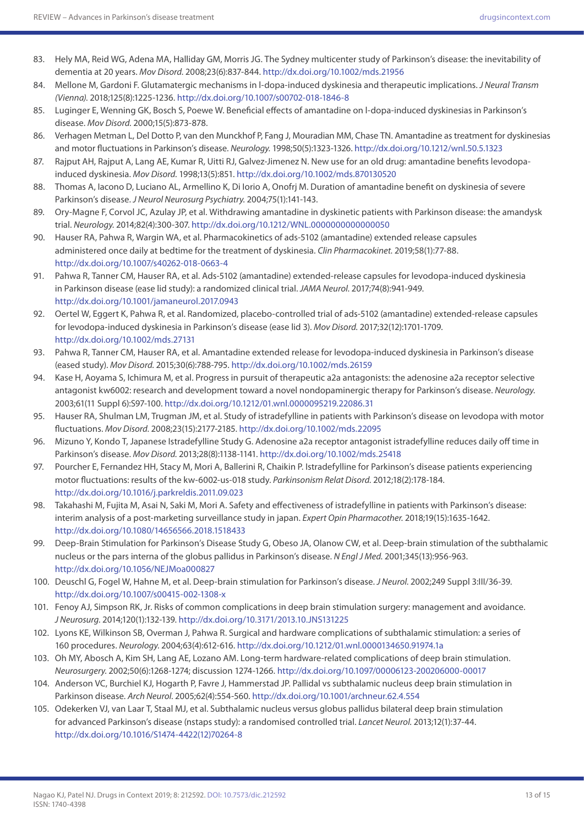- 83. Hely MA, Reid WG, Adena MA, Halliday GM, Morris JG. The Sydney multicenter study of Parkinson's disease: the inevitability of dementia at 20 years. *Mov Disord.* 2008;23(6):837-844.<http://dx.doi.org/10.1002/mds.21956>
- 84. Mellone M, Gardoni F. Glutamatergic mechanisms in l-dopa-induced dyskinesia and therapeutic implications. *J Neural Transm (Vienna).* 2018;125(8):1225-1236. <http://dx.doi.org/10.1007/s00702-018-1846-8>
- 85. Luginger E, Wenning GK, Bosch S, Poewe W. Beneficial effects of amantadine on l-dopa-induced dyskinesias in Parkinson's disease. *Mov Disord.* 2000;15(5):873-878.
- 86. Verhagen Metman L, Del Dotto P, van den Munckhof P, Fang J, Mouradian MM, Chase TN. Amantadine as treatment for dyskinesias and motor fluctuations in Parkinson's disease. *Neurology.* 1998;50(5):1323-1326. <http://dx.doi.org/10.1212/wnl.50.5.1323>
- 87. Rajput AH, Rajput A, Lang AE, Kumar R, Uitti RJ, Galvez-Jimenez N. New use for an old drug: amantadine benefits levodopainduced dyskinesia. *Mov Disord.* 1998;13(5):851.<http://dx.doi.org/10.1002/mds.870130520>
- 88. Thomas A, Iacono D, Luciano AL, Armellino K, Di Iorio A, Onofrj M. Duration of amantadine benefit on dyskinesia of severe Parkinson's disease. *J Neurol Neurosurg Psychiatry.* 2004;75(1):141-143.
- 89. Ory-Magne F, Corvol JC, Azulay JP, et al. Withdrawing amantadine in dyskinetic patients with Parkinson disease: the amandysk trial. *Neurology.* 2014;82(4):300-307.<http://dx.doi.org/10.1212/WNL.0000000000000050>
- 90. Hauser RA, Pahwa R, Wargin WA, et al. Pharmacokinetics of ads-5102 (amantadine) extended release capsules administered once daily at bedtime for the treatment of dyskinesia. *Clin Pharmacokinet.* 2019;58(1):77-88. <http://dx.doi.org/10.1007/s40262-018-0663-4>
- 91. Pahwa R, Tanner CM, Hauser RA, et al. Ads-5102 (amantadine) extended-release capsules for levodopa-induced dyskinesia in Parkinson disease (ease lid study): a randomized clinical trial. *JAMA Neurol.* 2017;74(8):941-949. <http://dx.doi.org/10.1001/jamaneurol.2017.0943>
- 92. Oertel W, Eggert K, Pahwa R, et al. Randomized, placebo-controlled trial of ads-5102 (amantadine) extended-release capsules for levodopa-induced dyskinesia in Parkinson's disease (ease lid 3). *Mov Disord.* 2017;32(12):1701-1709. <http://dx.doi.org/10.1002/mds.27131>
- 93. Pahwa R, Tanner CM, Hauser RA, et al. Amantadine extended release for levodopa-induced dyskinesia in Parkinson's disease (eased study). *Mov Disord.* 2015;30(6):788-795.<http://dx.doi.org/10.1002/mds.26159>
- 94. Kase H, Aoyama S, Ichimura M, et al. Progress in pursuit of therapeutic a2a antagonists: the adenosine a2a receptor selective antagonist kw6002: research and development toward a novel nondopaminergic therapy for Parkinson's disease. *Neurology.*  2003;61(11 Suppl 6):S97-100. <http://dx.doi.org/10.1212/01.wnl.0000095219.22086.31>
- 95. Hauser RA, Shulman LM, Trugman JM, et al. Study of istradefylline in patients with Parkinson's disease on levodopa with motor fluctuations. *Mov Disord.* 2008;23(15):2177-2185.<http://dx.doi.org/10.1002/mds.22095>
- 96. Mizuno Y, Kondo T, Japanese Istradefylline Study G. Adenosine a2a receptor antagonist istradefylline reduces daily off time in Parkinson's disease. *Mov Disord.* 2013;28(8):1138-1141.<http://dx.doi.org/10.1002/mds.25418>
- 97. Pourcher E, Fernandez HH, Stacy M, Mori A, Ballerini R, Chaikin P. Istradefylline for Parkinson's disease patients experiencing motor fluctuations: results of the kw-6002-us-018 study. *Parkinsonism Relat Disord.* 2012;18(2):178-184. <http://dx.doi.org/10.1016/j.parkreldis.2011.09.023>
- 98. Takahashi M, Fujita M, Asai N, Saki M, Mori A. Safety and effectiveness of istradefylline in patients with Parkinson's disease: interim analysis of a post-marketing surveillance study in japan. *Expert Opin Pharmacother.* 2018;19(15):1635-1642. <http://dx.doi.org/10.1080/14656566.2018.1518433>
- 99. Deep-Brain Stimulation for Parkinson's Disease Study G, Obeso JA, Olanow CW, et al. Deep-brain stimulation of the subthalamic nucleus or the pars interna of the globus pallidus in Parkinson's disease. *N Engl J Med.* 2001;345(13):956-963. <http://dx.doi.org/10.1056/NEJMoa000827>
- 100. Deuschl G, Fogel W, Hahne M, et al. Deep-brain stimulation for Parkinson's disease. *J Neurol.* 2002;249 Suppl 3:III/36-39. <http://dx.doi.org/10.1007/s00415-002-1308-x>
- 101. Fenoy AJ, Simpson RK, Jr. Risks of common complications in deep brain stimulation surgery: management and avoidance. *J Neurosurg.* 2014;120(1):132-139.<http://dx.doi.org/10.3171/2013.10.JNS131225>
- 102. Lyons KE, Wilkinson SB, Overman J, Pahwa R. Surgical and hardware complications of subthalamic stimulation: a series of 160 procedures. *Neurology.* 2004;63(4):612-616. <http://dx.doi.org/10.1212/01.wnl.0000134650.91974.1a>
- 103. Oh MY, Abosch A, Kim SH, Lang AE, Lozano AM. Long-term hardware-related complications of deep brain stimulation. *Neurosurgery.* 2002;50(6):1268-1274; discussion 1274-1266. <http://dx.doi.org/10.1097/00006123-200206000-00017>
- 104. Anderson VC, Burchiel KJ, Hogarth P, Favre J, Hammerstad JP. Pallidal vs subthalamic nucleus deep brain stimulation in Parkinson disease. *Arch Neurol.* 2005;62(4):554-560.<http://dx.doi.org/10.1001/archneur.62.4.554>
- 105. Odekerken VJ, van Laar T, Staal MJ, et al. Subthalamic nucleus versus globus pallidus bilateral deep brain stimulation for advanced Parkinson's disease (nstaps study): a randomised controlled trial. *Lancet Neurol.* 2013;12(1):37-44. [http://dx.doi.org/10.1016/S1474-4422\(12\)70264-8](http://dx.doi.org/10.1016/S1474-4422(12)70264-8)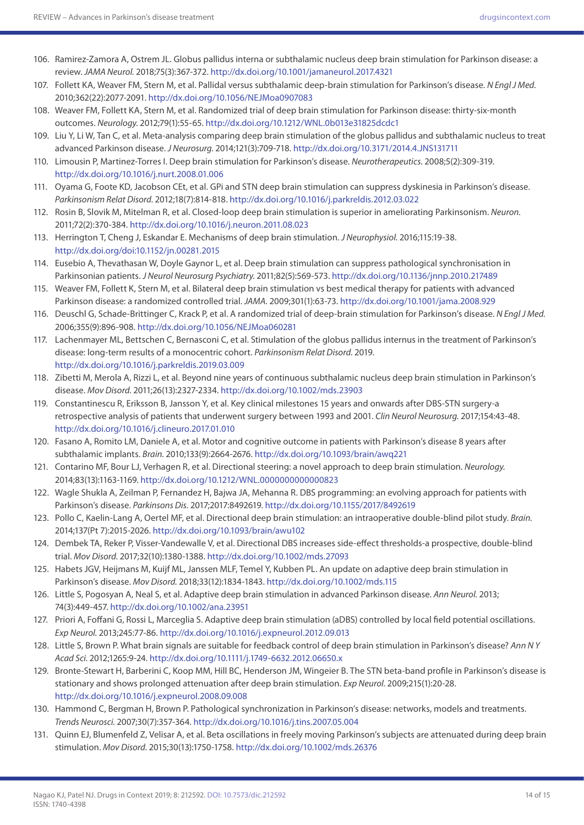- 106. Ramirez-Zamora A, Ostrem JL. Globus pallidus interna or subthalamic nucleus deep brain stimulation for Parkinson disease: a review. *JAMA Neurol.* 2018;75(3):367-372. <http://dx.doi.org/10.1001/jamaneurol.2017.4321>
- 107. Follett KA, Weaver FM, Stern M, et al. Pallidal versus subthalamic deep-brain stimulation for Parkinson's disease. *N Engl J Med.*  2010;362(22):2077-2091.<http://dx.doi.org/10.1056/NEJMoa0907083>
- 108. Weaver FM, Follett KA, Stern M, et al. Randomized trial of deep brain stimulation for Parkinson disease: thirty-six-month outcomes. *Neurology.* 2012;79(1):55-65. <http://dx.doi.org/10.1212/WNL.0b013e31825dcdc1>
- 109. Liu Y, Li W, Tan C, et al. Meta-analysis comparing deep brain stimulation of the globus pallidus and subthalamic nucleus to treat advanced Parkinson disease. *J Neurosurg.* 2014;121(3):709-718.<http://dx.doi.org/10.3171/2014.4.JNS131711>
- 110. Limousin P, Martinez-Torres I. Deep brain stimulation for Parkinson's disease. *Neurotherapeutics.* 2008;5(2):309-319. <http://dx.doi.org/10.1016/j.nurt.2008.01.006>
- 111. Oyama G, Foote KD, Jacobson CEt, et al. GPi and STN deep brain stimulation can suppress dyskinesia in Parkinson's disease. *Parkinsonism Relat Disord.* 2012;18(7):814-818.<http://dx.doi.org/10.1016/j.parkreldis.2012.03.022>
- 112. Rosin B, Slovik M, Mitelman R, et al. Closed-loop deep brain stimulation is superior in ameliorating Parkinsonism. *Neuron.*  2011;72(2):370-384.<http://dx.doi.org/10.1016/j.neuron.2011.08.023>
- 113. Herrington T, Cheng J, Eskandar E. Mechanisms of deep brain stimulation. *J Neurophysiol.* 2016;115:19-38. <http://dx.doi.org/doi:10.1152/jn.00281.2015>
- 114. Eusebio A, Thevathasan W, Doyle Gaynor L, et al. Deep brain stimulation can suppress pathological synchronisation in Parkinsonian patients. *J Neurol Neurosurg Psychiatry.* 2011;82(5):569-573. <http://dx.doi.org/10.1136/jnnp.2010.217489>
- 115. Weaver FM, Follett K, Stern M, et al. Bilateral deep brain stimulation vs best medical therapy for patients with advanced Parkinson disease: a randomized controlled trial. *JAMA.* 2009;301(1):63-73. <http://dx.doi.org/10.1001/jama.2008.929>
- 116. Deuschl G, Schade-Brittinger C, Krack P, et al. A randomized trial of deep-brain stimulation for Parkinson's disease. *N Engl J Med.*  2006;355(9):896-908.<http://dx.doi.org/10.1056/NEJMoa060281>
- 117. Lachenmayer ML, Bettschen C, Bernasconi C, et al. Stimulation of the globus pallidus internus in the treatment of Parkinson's disease: long-term results of a monocentric cohort. *Parkinsonism Relat Disord.* 2019. <http://dx.doi.org/10.1016/j.parkreldis.2019.03.009>
- 118. Zibetti M, Merola A, Rizzi L, et al. Beyond nine years of continuous subthalamic nucleus deep brain stimulation in Parkinson's disease. *Mov Disord.* 2011;26(13):2327-2334.<http://dx.doi.org/10.1002/mds.23903>
- 119. Constantinescu R, Eriksson B, Jansson Y, et al. Key clinical milestones 15 years and onwards after DBS-STN surgery-a retrospective analysis of patients that underwent surgery between 1993 and 2001. *Clin Neurol Neurosurg.* 2017;154:43-48. <http://dx.doi.org/10.1016/j.clineuro.2017.01.010>
- 120. Fasano A, Romito LM, Daniele A, et al. Motor and cognitive outcome in patients with Parkinson's disease 8 years after subthalamic implants. *Brain.* 2010;133(9):2664-2676. <http://dx.doi.org/10.1093/brain/awq221>
- 121. Contarino MF, Bour LJ, Verhagen R, et al. Directional steering: a novel approach to deep brain stimulation. *Neurology.*  2014;83(13):1163-1169.<http://dx.doi.org/10.1212/WNL.0000000000000823>
- 122. Wagle Shukla A, Zeilman P, Fernandez H, Bajwa JA, Mehanna R. DBS programming: an evolving approach for patients with Parkinson's disease. *Parkinsons Dis.* 2017;2017:8492619.<http://dx.doi.org/10.1155/2017/8492619>
- 123. Pollo C, Kaelin-Lang A, Oertel MF, et al. Directional deep brain stimulation: an intraoperative double-blind pilot study. *Brain.*  2014;137(Pt 7):2015-2026. <http://dx.doi.org/10.1093/brain/awu102>
- 124. Dembek TA, Reker P, Visser-Vandewalle V, et al. Directional DBS increases side-effect thresholds-a prospective, double-blind trial. *Mov Disord.* 2017;32(10):1380-1388.<http://dx.doi.org/10.1002/mds.27093>
- 125. Habets JGV, Heijmans M, Kuijf ML, Janssen MLF, Temel Y, Kubben PL. An update on adaptive deep brain stimulation in Parkinson's disease. *Mov Disord.* 2018;33(12):1834-1843.<http://dx.doi.org/10.1002/mds.115>
- 126. Little S, Pogosyan A, Neal S, et al. Adaptive deep brain stimulation in advanced Parkinson disease. *Ann Neurol.* 2013; 74(3):449-457.<http://dx.doi.org/10.1002/ana.23951>
- 127. Priori A, Foffani G, Rossi L, Marceglia S. Adaptive deep brain stimulation (aDBS) controlled by local field potential oscillations. *Exp Neurol.* 2013;245:77-86.<http://dx.doi.org/10.1016/j.expneurol.2012.09.013>
- 128. Little S, Brown P. What brain signals are suitable for feedback control of deep brain stimulation in Parkinson's disease? *Ann N Y Acad Sci.* 2012;1265:9-24. <http://dx.doi.org/10.1111/j.1749-6632.2012.06650.x>
- 129. Bronte-Stewart H, Barberini C, Koop MM, Hill BC, Henderson JM, Wingeier B. The STN beta-band profile in Parkinson's disease is stationary and shows prolonged attenuation after deep brain stimulation. *Exp Neurol.* 2009;215(1):20-28. <http://dx.doi.org/10.1016/j.expneurol.2008.09.008>
- 130. Hammond C, Bergman H, Brown P. Pathological synchronization in Parkinson's disease: networks, models and treatments. *Trends Neurosci.* 2007;30(7):357-364.<http://dx.doi.org/10.1016/j.tins.2007.05.004>
- 131. Quinn EJ, Blumenfeld Z, Velisar A, et al. Beta oscillations in freely moving Parkinson's subjects are attenuated during deep brain stimulation. *Mov Disord.* 2015;30(13):1750-1758. <http://dx.doi.org/10.1002/mds.26376>